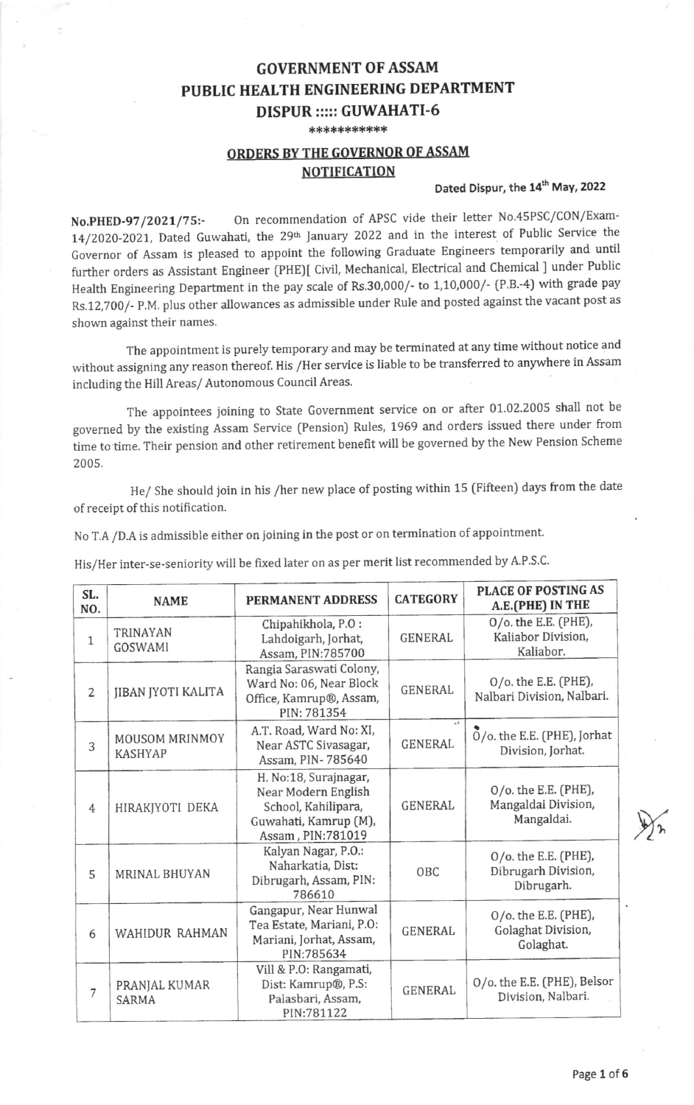## **GOVERNMENT OF ASSAM** PUBLIC HEALTH ENGINEERING DEPARTMENT DISPUR ::::: GUWAHATI-6

\*\*\*\*\*\*\*\*\*\*\*

## ORDERS BYTHE GOVERNOR OF ASSAM **NOTIFICATION**

## Dated Dispur, the 14<sup>th</sup> May, 2022

No.PHED-97/2021/75:- On recommendation of APSC vide their letter No.45PSC/CON/Exam-14/2020-2021, Dated Guwahati, the 29th January 2022 and in the interest of Public Service the Governor of Assam is pleased to appoint the following Graduate Engineers temporarily and until further orders as Assistant Engineer (PHE)[ Civil, Mechanical, Electrica] and chemical ] under Public Health Engineering Department in the pay scale of Rs.30,000/- to 1,10,000/- (P.B.-4) with grade pay Rs.12,700/- P.M. plus other allowances as admissible under Rule and posted against the vacant post as shown against their names.

The appointment is purely temporary and may be terminated at any time without notice and without assigning any reason thereof. His /Her service is liable to be transferred to anywhere in Assam including the Hill Areas/ Autonomous Council Areas.

The appointees joining to State Government service on or after 01.02.2005 shall not be governed by the existing Assam Service (Pension) Rutes, 1969 and orders issued there under ftom time to time. Their pension and other retirement benefit will be governed by the New Pension Scheme 2005.

He/ She should join in his /her new place of posting within 15 (Fifteen) days from the date of receipt of this notification.

No T.A /DA is admissible either on ioining in the post or on termination of appointment.

His/Her inter-se-seniority will be fixed later on as per merit list recommended by A.P.s.c.

| SL.<br>NO.     | <b>NAME</b>                      | PERMANENT ADDRESS                                                                                                 | <b>CATEGORY</b>                 | PLACE OF POSTING AS<br>A.E.(PHE) IN THE                   |
|----------------|----------------------------------|-------------------------------------------------------------------------------------------------------------------|---------------------------------|-----------------------------------------------------------|
| $\mathbf{1}$   | <b>TRINAYAN</b><br>GOSWAMI       | Chipahikhola, P.O:<br>Lahdoigarh, Jorhat,<br>Assam, PIN:785700                                                    | <b>GENERAL</b>                  | 0/o. the E.E. (PHE),<br>Kaliabor Division,<br>Kaliabor.   |
| $\overline{2}$ | <b>JIBAN JYOTI KALITA</b>        | Rangia Saraswati Colony,<br>Ward No: 06, Near Block<br>Office, Kamrup®, Assam,<br>PIN: 781354                     | <b>GENERAL</b>                  | $O$ /o. the E.E. (PHE),<br>Nalbari Division, Nalbari.     |
| 3              | MOUSOM MRINMOY<br><b>KASHYAP</b> | A.T. Road, Ward No: XI,<br>Near ASTC Sivasagar,<br>Assam, PIN-785640                                              | $\mathcal{A}$<br><b>GENERAL</b> | $O$ /o. the E.E. (PHE), Jorhat<br>Division, Jorhat.       |
| $\overline{4}$ | HIRAKJYOTI DEKA                  | H. No:18, Surajnagar,<br>Near Modern English<br>School, Kahilipara,<br>Guwahati, Kamrup (M),<br>Assam, PIN:781019 | <b>GENERAL</b>                  | 0/o. the E.E. (PHE),<br>Mangaldai Division,<br>Mangaldai. |
| 5              | <b>MRINAL BHUYAN</b>             | Kalyan Nagar, P.O.:<br>Naharkatia, Dist:<br>Dibrugarh, Assam, PIN:<br>786610                                      | OBC                             | 0/o. the E.E. (PHE),<br>Dibrugarh Division,<br>Dibrugarh. |
| 6              | WAHIDUR RAHMAN                   | Gangapur, Near Hunwal<br>Tea Estate, Mariani, P.O:<br>Mariani, Jorhat, Assam,<br>PIN:785634                       | <b>GENERAL</b>                  | 0/o. the E.E. (PHE),<br>Golaghat Division,<br>Golaghat.   |
| 7              | PRANJAL KUMAR<br>SARMA           | Vill & P.O: Rangamati,<br>Dist: Kamrup®, P.S:<br>Palasbari, Assam,<br>PIN:781122                                  | <b>GENERAL</b>                  | O/o. the E.E. (PHE), Belsor<br>Division, Nalbari.         |

 $\sum_{k=1}^{n}$